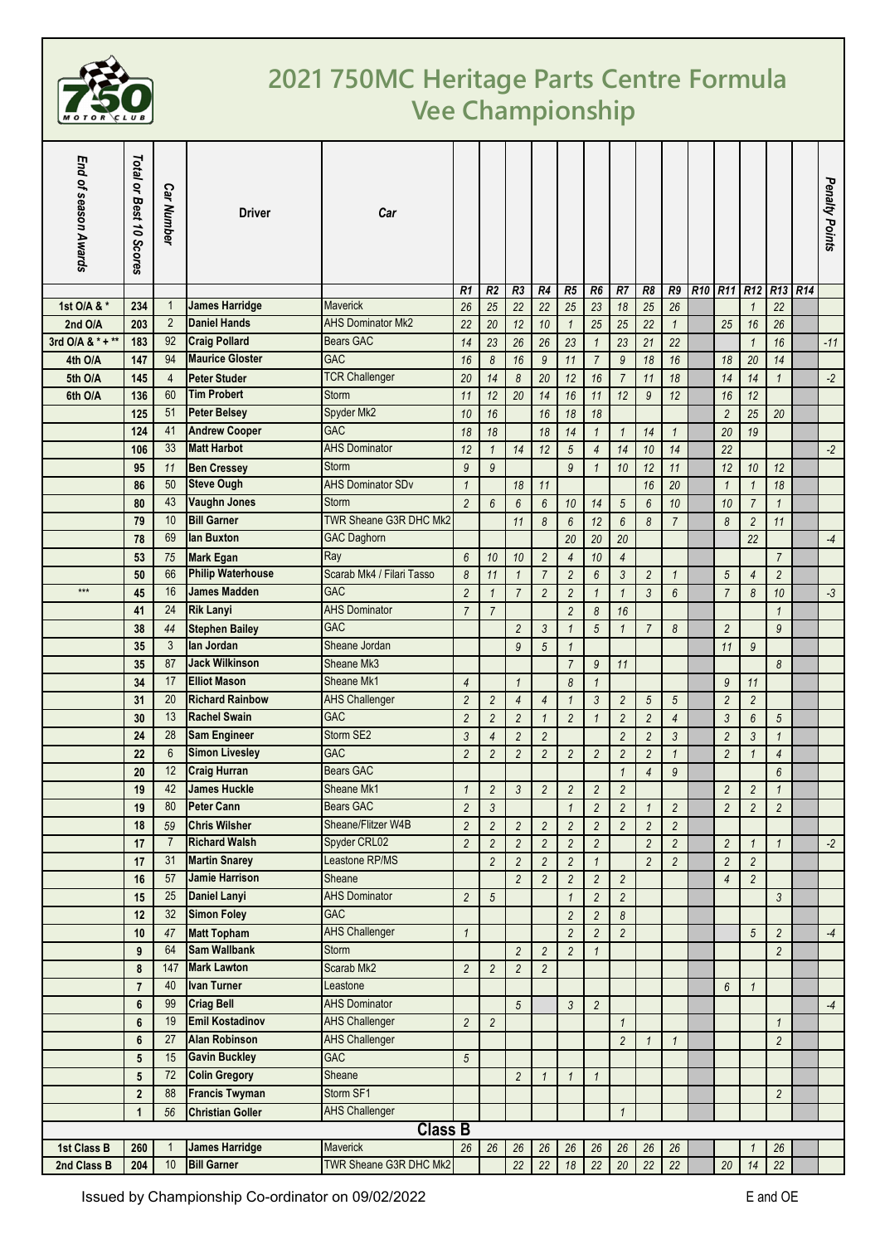

## **2021 750MC Heritage Parts Centre Formula Vee Championship**

| End of season Awards | Total or Best 10 Scores | <b>Car Number</b>    | <b>Driver</b>                                | Car                       |                |                                |                                  |                              |                                  |                                  |                  |                                  |                    |                                                 |                                  |                                       | Penalty Points |
|----------------------|-------------------------|----------------------|----------------------------------------------|---------------------------|----------------|--------------------------------|----------------------------------|------------------------------|----------------------------------|----------------------------------|------------------|----------------------------------|--------------------|-------------------------------------------------|----------------------------------|---------------------------------------|----------------|
| 1st O/A & *          | 234                     | 1                    | <b>James Harridge</b>                        | <b>Maverick</b>           | R1<br>26       | R <sub>2</sub><br>25           | R <sub>3</sub><br>22             | R4<br>22                     | R5<br>25                         | R6<br>23                         | R7<br>18         | R8<br>25                         | R9<br>26           | R <sub>10</sub> R <sub>11</sub> R <sub>12</sub> |                                  | R <sub>13</sub> R <sub>14</sub><br>22 |                |
| 2nd O/A              | 203                     | $\overline{2}$       | <b>Daniel Hands</b>                          | <b>AHS Dominator Mk2</b>  | 22             |                                |                                  |                              |                                  |                                  |                  |                                  |                    |                                                 | $\mathbf{1}$<br>16               |                                       |                |
| 3rd O/A & * + **     | 183                     | 92                   | <b>Craig Pollard</b>                         | <b>Bears GAC</b>          | 14             | 20<br>23                       | 12<br>26                         | 10<br>26                     | $\mathbf{1}$<br>23               | 25                               | 25<br>23         | 22<br>21                         | $\mathbf{1}$<br>22 | 25                                              | $\mathbf{1}$                     | 26<br>16                              | $-11$          |
| 4th O/A              | 147                     | 94                   | <b>Maurice Gloster</b>                       | <b>GAC</b>                | 16             | 8                              | 16                               | $\boldsymbol{9}$             | 11                               | $\overline{1}$<br>$\overline{7}$ | $\mathfrak g$    | 18                               | 16                 | 18                                              | 20                               | 14                                    |                |
| 5th O/A              | 145                     | $\overline{4}$       | <b>Peter Studer</b>                          | <b>TCR Challenger</b>     | 20             | 14                             | 8                                | 20                           | 12                               | 16                               | $\overline{7}$   | 11                               | 18                 | 14                                              | 14                               | $\mathbf{1}$                          | $-2$           |
| 6th O/A              | 136                     | 60                   | <b>Tim Probert</b>                           | Storm                     | 11             | 12                             | 20                               | 14                           | 16                               | 11                               | 12               |                                  | 12                 | 16                                              | 12                               |                                       |                |
|                      | 125                     | 51                   | <b>Peter Belsey</b>                          | Spyder Mk2                | 10             | 16                             |                                  | 16                           | 18                               | 18                               |                  | $\boldsymbol{9}$                 |                    | $\overline{2}$                                  | 25                               | 20                                    |                |
|                      | 124                     | 41                   | <b>Andrew Cooper</b>                         | <b>GAC</b>                |                |                                |                                  |                              |                                  |                                  |                  |                                  | $\mathbf{1}$       |                                                 |                                  |                                       |                |
|                      |                         | 33                   | <b>Matt Harbot</b>                           | <b>AHS Dominator</b>      | 18             | 18                             |                                  | 18                           | 14                               | $\mathbf{1}$                     | $\mathbf{1}$     | 14                               |                    | 20                                              | 19                               |                                       | $-2$           |
|                      | 106                     |                      |                                              | Storm                     | 12             | $\mathbf{1}$<br>$\mathfrak{g}$ | 14                               | 12                           | $\sqrt{5}$<br>$\overline{9}$     | $\overline{4}$                   | 14               | 10                               | 14                 | 22                                              |                                  |                                       |                |
|                      | 95                      | 11<br>50             | <b>Ben Cressey</b><br><b>Steve Ough</b>      | <b>AHS Dominator SDv</b>  | $\mathfrak{g}$ |                                |                                  |                              |                                  | $\mathbf{1}$                     | 10               | 12                               | 11                 | 12                                              | 10                               | 12                                    |                |
|                      | 86                      | 43                   | <b>Vaughn Jones</b>                          | Storm                     | $\mathbf{1}$   |                                | 18                               | 11                           |                                  |                                  |                  | 16                               | 20                 | $\mathbf{1}$                                    | $\mathbf{1}$                     | 18                                    |                |
|                      | 80                      | 10                   | <b>Bill Garner</b>                           | TWR Sheane G3R DHC Mk2    | $\overline{2}$ | 6                              | 6                                | 6                            | 10                               | 14                               | $\sqrt{5}$       | $6\phantom{1}6$                  | 10                 | 10                                              | $\boldsymbol{7}$                 | $\mathbf{1}$                          |                |
|                      | 79                      | 69                   | lan Buxton                                   |                           |                |                                | 11                               | 8                            | $6\phantom{.0}$                  | 12                               | $6\overline{6}$  | 8                                | $\overline{7}$     | 8                                               | $\overline{c}$                   | 11                                    |                |
|                      | 78                      |                      |                                              | <b>GAC Daghorn</b><br>Ray |                |                                |                                  |                              | 20                               | 20                               | 20               |                                  |                    |                                                 | 22                               |                                       | $-4$           |
|                      | 53                      | 75<br>66             | <b>Mark Egan</b><br><b>Philip Waterhouse</b> | Scarab Mk4 / Filari Tasso | 6              | 10                             | 10                               | $\overline{2}$               | $\overline{4}$                   | 10                               | 4                |                                  |                    |                                                 |                                  | $\overline{7}$                        |                |
| $***$                | 50                      | 16                   | <b>James Madden</b>                          | <b>GAC</b>                | 8              | 11                             | $\mathbf{1}$                     | $\overline{7}$               | $\overline{c}$                   | 6                                | 3                | $\overline{c}$                   | $\mathbf{1}$       | 5                                               | $\overline{4}$                   | $\overline{2}$                        |                |
|                      | 45                      |                      |                                              | <b>AHS Dominator</b>      | $\overline{2}$ | 1                              | $\overline{7}$                   | $\overline{2}$               | $\overline{c}$                   | $\mathbf 1$                      | $\mathbf{1}$     | $\mathfrak{Z}$                   | 6                  | $\overline{7}$                                  | 8                                | 10                                    | $-3$           |
|                      | 41                      | 24                   | <b>Rik Lanyi</b>                             | <b>GAC</b>                | $\overline{7}$ | $\overline{7}$                 |                                  |                              | $\overline{c}$                   | 8                                | 16               |                                  |                    |                                                 |                                  | $\mathbf{1}$                          |                |
|                      | 38<br>35                | 44<br>3              | <b>Stephen Bailey</b><br>lan Jordan          | Sheane Jordan             |                |                                | $\overline{c}$                   | $\mathfrak{Z}$               | $\mathbf{1}$                     | 5                                | $\mathbf{1}$     | $\overline{7}$                   | 8                  | $\overline{2}$                                  |                                  | 9                                     |                |
|                      | 35                      | 87                   | <b>Jack Wilkinson</b>                        | Sheane Mk3                |                |                                | 9                                | 5                            | $\mathbf{1}$                     |                                  |                  |                                  |                    | 11                                              | $\mathfrak{g}$                   |                                       |                |
|                      | 34                      | 17                   | <b>Elliot Mason</b>                          | Sheane Mk1                |                |                                |                                  |                              | $\overline{7}$                   | 9                                | 11               |                                  |                    |                                                 |                                  | 8                                     |                |
|                      |                         | 20                   | <b>Richard Rainbow</b>                       | <b>AHS Challenger</b>     | $\overline{4}$ |                                | $\mathbf{1}$                     |                              | 8                                | $\mathbf{1}$                     |                  |                                  |                    | 9                                               | 11                               |                                       |                |
|                      | 31                      | 13                   | <b>Rachel Swain</b>                          | <b>GAC</b>                | $\overline{2}$ | $\overline{c}$                 | $\overline{4}$                   | $\overline{4}$               | $\mathbf{1}$                     | 3                                | $\overline{2}$   | 5                                | 5                  | $\overline{2}$                                  | $\overline{c}$                   |                                       |                |
|                      | 30                      | 28                   | <b>Sam Engineer</b>                          | Storm SE2                 | $\overline{2}$ | $\overline{c}$                 | $\overline{c}$                   | $\mathbf{1}$                 | $\overline{2}$                   | $\mathbf{1}$                     | $\overline{2}$   | $\overline{2}$                   | $\overline{4}$     | 3                                               | $6\phantom{.}6$                  | $\sqrt{5}$                            |                |
|                      | 24                      | $6\phantom{1}$       | <b>Simon Livesley</b>                        | <b>GAC</b>                | $\overline{3}$ | 4                              | $\overline{c}$                   | $\overline{c}$               |                                  |                                  | $\overline{2}$   | $\overline{2}$                   | 3                  | $\overline{2}$                                  | $\mathfrak{Z}$                   | $\mathbf{1}$                          |                |
|                      | 22                      | 12                   | <b>Craig Hurran</b>                          | <b>Bears GAC</b>          | $\overline{2}$ | 2                              | $\overline{c}$                   | $\overline{2}$               | $\overline{c}$                   | $\overline{2}$                   | $\overline{c}$   | $\overline{2}$                   | $\mathbf{1}$       | $\overline{c}$                                  | $\mathbf{1}$                     | $\overline{4}$                        |                |
|                      | 20                      | 42                   | <b>James Huckle</b>                          | Sheane Mk1                | $\overline{1}$ |                                |                                  |                              |                                  |                                  | $\mathbf{1}$     | $\overline{4}$                   | $\mathfrak{g}$     |                                                 |                                  | 6<br>$\mathbf{1}$                     |                |
|                      | 19                      | 80                   | <b>Peter Cann</b>                            | Bears GAC                 |                | $\overline{c}$                 | $\mathfrak{Z}$                   | $\sqrt{2}$                   | $\overline{c}$                   | $\sqrt{2}$                       | $\overline{c}$   |                                  |                    | $\overline{c}$                                  | $\sqrt{2}$                       |                                       |                |
|                      | 19                      |                      | <b>Chris Wilsher</b>                         | Sheane/Flitzer W4B        | $\overline{2}$ | $\mathfrak{Z}$                 |                                  |                              | $\mathbf{1}$                     | $\overline{2}$                   | $\overline{c}$   | $\mathbf{1}$                     | $\overline{c}$     | $\overline{2}$                                  | $\overline{c}$                   | $\overline{2}$                        |                |
|                      | 18                      | 59<br>$\overline{7}$ | <b>Richard Walsh</b>                         | Spyder CRL02              | $\overline{2}$ | $\overline{c}$                 | $\overline{c}$                   | $\overline{c}$               | $\overline{c}$                   | $\overline{2}$                   | $\overline{c}$   | $\overline{2}$                   | $\overline{c}$     |                                                 |                                  |                                       |                |
|                      | 17<br>17                | 31                   | <b>Martin Snarey</b>                         | Leastone RP/MS            | $\overline{2}$ | $\overline{c}$                 | $\overline{c}$                   | $\overline{c}$               | $\overline{c}$                   | $\overline{2}$                   |                  | $\overline{2}$<br>$\overline{2}$ | $\overline{2}$     | $\overline{c}$                                  | $\mathbf{1}$                     | $\mathbf{1}$                          | $-2$           |
|                      | 16                      | 57                   | <b>Jamie Harrison</b>                        | Sheane                    |                | $\overline{2}$                 | $\overline{c}$<br>$\overline{2}$ | $\sqrt{2}$<br>$\overline{2}$ | $\overline{c}$<br>$\overline{c}$ | $\mathbf{1}$<br>$\sqrt{2}$       | $\overline{c}$   |                                  | $\overline{a}$     | $\overline{2}$<br>$\overline{4}$                | $\overline{c}$<br>$\overline{c}$ |                                       |                |
|                      | 15                      | 25                   | <b>Daniel Lanyi</b>                          | <b>AHS Dominator</b>      | $\overline{2}$ | $\sqrt{5}$                     |                                  |                              | $\mathbf{1}$                     | $\sqrt{2}$                       | $\overline{c}$   |                                  |                    |                                                 |                                  | $\mathfrak{Z}$                        |                |
|                      | 12                      | 32 <sup>2</sup>      | <b>Simon Foley</b>                           | <b>GAC</b>                |                |                                |                                  |                              | $\overline{c}$                   | $\sqrt{2}$                       | $\boldsymbol{8}$ |                                  |                    |                                                 |                                  |                                       |                |
|                      | 10                      | 47                   | <b>Matt Topham</b>                           | <b>AHS Challenger</b>     | $\mathbf{1}$   |                                |                                  |                              | $\overline{c}$                   | $\sqrt{2}$                       | $\overline{c}$   |                                  |                    |                                                 | $\sqrt{5}$                       | $\overline{2}$                        | $-4$           |
|                      | 9                       | 64                   | <b>Sam Wallbank</b>                          | Storm                     |                |                                | $\overline{c}$                   | $\overline{2}$               | $\overline{c}$                   | $\mathbf{1}$                     |                  |                                  |                    |                                                 |                                  | $\overline{c}$                        |                |
|                      | 8                       | 147                  | <b>Mark Lawton</b>                           | Scarab Mk2                | $\overline{c}$ | $\overline{c}$                 | $\overline{c}$                   | $\sqrt{2}$                   |                                  |                                  |                  |                                  |                    |                                                 |                                  |                                       |                |
|                      | $\overline{7}$          | 40                   | <b>Ivan Turner</b>                           | Leastone                  |                |                                |                                  |                              |                                  |                                  |                  |                                  |                    | $6\overline{6}$                                 | $\mathbf{1}$                     |                                       |                |
|                      | 6                       | 99                   | <b>Criag Bell</b>                            | <b>AHS Dominator</b>      |                |                                | $\sqrt{5}$                       |                              | $\mathfrak{Z}$                   | $\sqrt{2}$                       |                  |                                  |                    |                                                 |                                  |                                       | $-4$           |
|                      | 6                       | 19                   | <b>Emil Kostadinov</b>                       | <b>AHS Challenger</b>     | $\overline{c}$ | $\overline{c}$                 |                                  |                              |                                  |                                  | $\mathbf{1}$     |                                  |                    |                                                 |                                  | $\mathbf{1}$                          |                |
|                      | 6                       | 27                   | <b>Alan Robinson</b>                         | <b>AHS Challenger</b>     |                |                                |                                  |                              |                                  |                                  | $\overline{2}$   | $\mathbf{1}$                     | $\mathbf{1}$       |                                                 |                                  | $\overline{c}$                        |                |
|                      | $5\phantom{.0}$         | 15                   | <b>Gavin Buckley</b>                         | <b>GAC</b>                | 5              |                                |                                  |                              |                                  |                                  |                  |                                  |                    |                                                 |                                  |                                       |                |
|                      | $5\phantom{.0}$         | 72                   | <b>Colin Gregory</b>                         | Sheane                    |                |                                | $\overline{c}$                   | $\mathbf 1$                  | $\mathbf{1}$                     | $\mathbf{1}$                     |                  |                                  |                    |                                                 |                                  |                                       |                |
|                      | $\overline{2}$          | 88                   | <b>Francis Twyman</b>                        | Storm SF1                 |                |                                |                                  |                              |                                  |                                  |                  |                                  |                    |                                                 |                                  | $\overline{c}$                        |                |
|                      | $\mathbf{1}$            | 56                   | <b>Christian Goller</b>                      | <b>AHS Challenger</b>     |                |                                |                                  |                              |                                  |                                  | $\mathbf{1}$     |                                  |                    |                                                 |                                  |                                       |                |
|                      |                         |                      |                                              | <b>Class B</b>            |                |                                |                                  |                              |                                  |                                  |                  |                                  |                    |                                                 |                                  |                                       |                |
| 1st Class B          | 260                     |                      | <b>James Harridge</b>                        | <b>Maverick</b>           | $26\,$         | $26\,$                         | $26\,$                           | 26                           | 26                               | 26                               | 26               | 26                               | $26\,$             |                                                 | 1                                | 26                                    |                |
| 2nd Class B          | 204                     | 10                   | <b>Bill Garner</b>                           | TWR Sheane G3R DHC Mk2    |                |                                | 22                               | 22                           | 18                               | $\overline{22}$                  | $20\,$           | $\overline{22}$                  | $\overline{22}$    | 20                                              | 14                               | 22                                    |                |